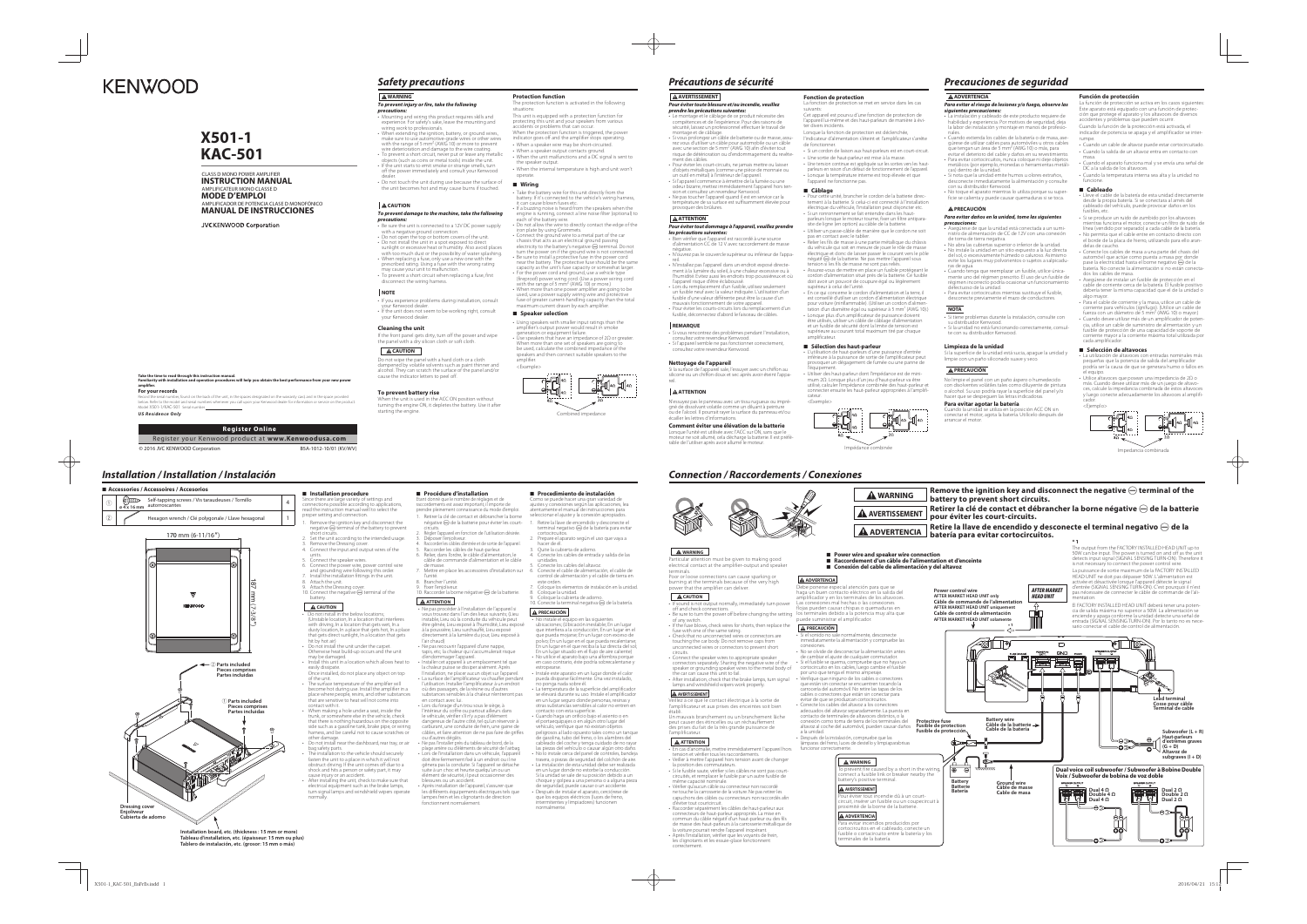# **WARNING**

# *To prevent injury or fire, take the following*

- **Precautions:**<br>
 Mounting and wiring this product requires skills and<br>
wexpreience. For safety's sake, leave the mounting and<br>
wiring work to professionals.<br>
 When extending the ignition, battery, or ground wires,<br>
make
- 
- 
- 
- 
- Do not touch the unit during use because the surface of
- the unit becomes hot and may cause burns if touched.

- 
- Be sure the unit is connected to a 12V DC power supply<br>with a negative ground connection.<br>• Do not open the top or bottom covers of the unit.<br>• Do not install the unit in a spot exposed to direct<br>sunlight or execsive he
- 
- disconnect the wiring harness.

rience problems during installation, consult your Kenwood dealer. • If the unit does not seem to be working right, consult your Kenwood dealer.

### **CAUTION**

# *To prevent damage to the machine, take the following precautions:*

EVEIN DUILEY TISE<br>the unit is used in the ACC ON position without turning the engine ON, it depletes the battery. Use it after starting the engine.

## **NOTE**

# **Cleaning the unit**

If the front panel gets dirty, turn off the power and wipe the panel with a dry silicon cloth or soft cloth.

#### **A** CAUTION

 Do not wipe the panel with a hard cloth or a cloth dampened by volatile solvents such as paint thinner and alcohol. They can scratch the surface of the panel and/or cause the indicator letters to peel off.

- Using speakers with smaller input ratings than the amplifier's output power would result in smoke
- generation or equipment failure.<br>Use speakers that have an impedance of 2 $\Omega$  or greater.<br>When more than one set of speakers are going to<br>be used, calculate the combined impedance of the<br>speakers and then connect suitable

#### **To prevent battery rise**

# **Protection function**

## **A AVERTISSEMENT** *Pour éviter toute blessure et/ou incendie, veuillez*

- The protection function is activated in the following situations:This unit is equipped with a protection function for
- protecting this unit and your speakers from various accidents or problems that can occur.
- When the protection function is triggered, the power indicator goes off and the amplifier stops operating.
- When a speaker wire may be short-circuited. • When a speaker output contacts ground.
- When the unit malfunctions and a DC signal is sent to the speaker output.
- When the internal temperature is high and unit won't operate.

### <sup>7</sup> **Wiring**

- ake the battery wire for this unit directly from the battery. If it's connected to the vehicle's wiring harness,
- it can cause blown fuses etc. If a buzzing noise is heard from the speakers when the engine is running, connect a line noise filter (optional) to
- each of the battery wire. Do not allow the wire to directly contact the edge of the
- iron plate by using Grommets. Connect the ground wire to a metal part of the car
- chassis that acts as an electrical ground passing<br>electricity to the battery's negative  $\bigoplus$  terminal. Do not<br>turn the power on if the ground wire is not connected.<br>• Be sure to install a protective fuse in the power cor
- near the battery. The protective fuse should be the same capacity as the unit's fuse capacity or somewhat large.
- For the power cord and ground, use a vehicle type (fireproof) power wring cord. (Use a power wiring cord with the range of 5 mm<sup>2</sup> (AWG 10) or more.) • When more than one power amplifier are going to be
- used, use a power supply wiring wire and protective fuse of greater current-handling capacity than the total um current drawn by each amplifier.

### $\blacksquare$  Speaker selection

• Lors du remplacement d'un fusible, utilisez seulement un fusible neuf avec la valeur indiquée. L'utilisation d'un fusible d'une valeur différente peut être la cause d'un mauvais fonctionnement de votre appareil. • Pour éviter les courts-circuits lors du remplacement d'un fusible, déconnectez d'abord le faisceau de câbles

concontrez des problemes pr<br>sultez votre revendeur Kenwood • Si l'appareil semble ne pas fonctionner correctement, consultez votre revendeur Kenwood.



# *Précautions de sécurité*

*prendre les précautions suivantes:*

• Le montage et le câblage de ce produit nécessite des compétences et de l'expérience. Pour des raisons de sécurité, laissez un professionnel effectuer le travail de

• Si vous prolongez un câble de batterie ou de masse, assu-<br>rez vous d'utiliser un câble pour automobile ou un câble<br>avec une section de 5 mm² (AWG 10) afin d'éviter tout<br>risque de détérioration ou d'endommagement du revêt

ment des câbles.<br>• Pour évite les court-circuits, ne jamais mettre ou laisser<br>d'objets métalliques (comme une pièce de monnaie ou<br>d'objets métalliques (comme une pièce de monnaie ou<br>un outil en métal) à l'intérieur de l'ap

montage et de câblage.

**AATTENTION** 

température de sa surface est suffisamment élevée pour provoquer des brûlures.

• Bien vérifier que l'appareil est raccordé à une source d'alimentation CC de 12 V avec raccordement de masse

négative.

• N'ouvrez pas le couvercle supérieur ou inférieur de l'appa-

reil.

• N'installez pas l'appareil dans un endroit exposé directe-

l'appareil risque d'être éclaboussé.

ción se activa en los casos siguiente Este aparato está equipado con una función de protec-ción que protege el aparato y los altavoces de diversos accidentes y problemas que pueden ocurrir.

Cuando la función de la protección está activada, el idicador de potencia se apaga y el amplificador se inter umpe.

**REMARQUE**

- Lleve el cable de la batería de esta unidad directamente desde la propia batería. Si se conectara al arnés del cableado del vehículo, puede provocar daños en los iusibles, etc.
- Si se produce un ruido de zumbido por los altavoces mientras funciona el motor, conecte un filtro de ruido de línea (vendido por separado) a cada cable de la batería.
- No permita que el cable entre en contacto directo con el borde de la placa de hierro, utilizando para ello arandelas de caucho. • Conecte los cables de masa a una parte del chasis del
- automóvil que actúe como puesta a masa por donde<br>pase la electricidad hasta el borne negativo ⊖ de la batería. No conecte la alimentación si no están conecta-
- dos los cables de masa. Asegúrese de instalar un fusible de protección en el cable de corriente cerca de la batería. El fusible positivo debería tener la misma capacidad que el de la unidad o algo mayor.
- Para el cable de corriente y la masa, utilice un cable de corriente para vehículos (ignífugo). (Utilice un cable de fuerza con un diámetro de 5 mm2 (AWG 10) o mayor.)
- 
- Cuando desee utilizar más de un amplificador de poten-<br>cia, utilice un cable de suministro de alimentación y un<br>fusible de protección de una capacidad de soporte de<br>corriente mayor a la corriente máxima total utilizada p cada amplificado

**Nettoyage de l'appareil**

écailler les lettres d'informations.

e i unité est utilisée avec l'A<br>Che soit allumé cela déch.

Si la surface de l'appareil sale, l'essuyer avec un chiffon au silicone ou un chiffon doux et sec après avoir éteint l'appa-

reil.

 **ATTENTION**

gné de dissolvant volatile comme un diluant à peinture



**Comment éviter une élévation de la batterie**

 $\sigma$  des problèmes pendant l'installation

## **Fonction de protection**

La fonction de protection se met en service dans les cas

suivants: Cet appareil est pourvu d'une fonction de protection de l'appareil lui-même et des haut-parleurs de manière à évi-ter divers incidents.

- Lorsque la fonction de protection est déclenchée, dicateur d'alimentation s'éteint et l'amplificateur s'arrête de fonctionner.
- Si un cordon de liaison aux haut-parleurs est en court-circuit.
- Une sortie de haut-parleur est mise à la masse. • Une tension continue est appliquée sur les sorties vers les haut-
- parleurs en raison d'un défaut de fonctionnement de l'appareil. • Lorsque la température interne est trop élevée et que

 $\blacksquare$  Installation procedure Since there are large variety of settings and connections possible according to applications, read the instruction manual well to select the proper setting and connection.

# l'appareil ne fonctionne pas.

1. Remove the ignition key and disconnect the negative  $\ominus$  terminal of the battery to prevent short circuits. 2. Set the unit according to the intended usage.

- units. 5. Connect the speaker wires. 6. Connect the power wire, power control wire and grounding wire following this order. 7. Install the installation fittings in the unit.
- 8. Attach the unit.<br>9. Attach the Dressing cover.<br>10. Connect the negative ⊖ terminal of the<br>battery.

# $\Delta$  CAUTION

Do not install in the below locations;<br>(Unstable location, In a location that interferes<br>with driving, In a location that gets wet, In a<br>dusty location, In a place that gets hot, In a place<br>that gets direct sunlight, In a

- <sup>7</sup> **Câblage** nité, brancher le cordon de la batterie direc-
- tement à la batterie. Si celui-ci est connecté à l'installation<br>électrique du véhicule, l'installation peut disjoncter etc. • Si un ronronnement se fait entendre dans les haut-parleurs lorsque le moteur tourne, fixer un filtre antipara-site de ligne (en option) au câble de la batterie.
- *Pour éviter tout dommage à l'appareil, veuillez prendre les précautions suivantes:* • Utiliser un passe-câble de manière que le cordon ne soit pas en contact avec le tablier.
	- Relier les fils de masse à une partie métallique du châssis<br>du véhicule qui soit en mesure de jouer le rôle de masse<br>électrique et donc de laisser passer le courant vers le pôle<br>négatif  $\bigoplus$  de la batterie. Ne pas mett
- ment à la lumière du soleil, à une chaleur excessive ou à l'humidité. Evitez aussi les endroits trop poussiéreux et où • Assurez-vous de mettre en place un fusible protégeant le cordon d'alimentation situé près de la batterie. Ce fusible doit avoir un pouvoir de coupure égal ou légèrement supérieur à celui de l'unité.
	- En ce qui concerne le cordon d'alimentation et la terre, il<br>est conseillé d'utiliser un cordon d'alimentation électrique<br>pour voiture (ininflammable). (Utiliser un cordon d'alimen-<br>tation d'un diamètre égal ou supérieur
	- Lorsque plus d'un amplificateur de puissance doivent être utilisés, utiliser un câble de câblage d'alimentation et un fusible de sécurité dont la limite de tension est supérieure au courant total maximum tiré par chaque amplificateur.

#### ■ Sélection des haut-parleur

- $\mathsf{n}$ égative  $\ominus$  de la batterie pour éviter les court-
- circuits. 2. Régler l'appareil en fonction de l'utilisation désirée.
- 3. Déposer l'enjoliveur.<br>4. Raccorder les câbles d'entrée et de sortie de l'appareil.<br>5. Raccorder les câbles de haut-parleur.<br>6. Relier, dans l'ordre, le câble d'alimentation, le<br>câble de commande d'alimentation et le câb
- 7. Mettre en place les accessoires d'installation sur
- l'unité. 8. Brancher l'unité. 9. Fixer l'enjoliveur. 10. Raccorder la borne négative · de la batterie.
- 

# **A** ATTENTION

• Ne pas procéder à l'installation de l'appareil si<br>vous trouvez dans l'un des lieux suivants; (Lieu<br>instable, Lieu où la conduite du véhicule peut<br>étre gênée, Lieu exposé à l'humidité, Lieu exposé<br>à la poussière, Lieu sur

- L'utilisation de haut-parleurs d'une puissance d'entrée inférieure à la puissance de sortie de l'amplificateur peut provoquer un dégagement de fumée ou une panne de l'équipement.
- Utiliser des haut-parleur dont l'impédance est de mini-mum 2Ω. Lorsque plus d'un jeu d'haut-parleur va être utilisé, calculer l'impédance combinée des haut-parleur et connecter ensuite les haut-parleur appropriées à l'amplificateur.

ilisation. Installer l'amplificateur à un endroit où des passagers, de la résine ou d'autres substances sensibles à la chaleur n'entreront pas en contact avec lui. • Lors du forage d'un trou sous le siège, à

lérieur du coffre ou partout ailleurs dans le véhicule, vérifier s'il n'y a pas d'élément<br>dangereux de l'autre côté, tel gu'un réservoir à carburant, une conduite de frein, une gaine de câbles, et faire attention de ne pas faire de griffes Impédance combinée

# *Precauciones de seguridad*

# **ADVERTENCIA**

- *Para evitar el riesgo de lesiones y/o fuego, observe las siguientes precauciones:*
- La instalación y cableado de este producto requiere de habilidad y experiencia. Por motivos de seguridad, deja la labor de instalación y montaje en manos de profesionales.• Cuando extienda los cables de la batería o de masa, ase-
- gúrese de utilizar cables para automóviles u otros cables<br>que tengan un área de 5 mm<sup>2</sup> (AWG 10) o más, para<br>evitar el deterioro del cable y daños en su revestimiento.
- Para evitar cortocircuitos, nunca coloque ni deje objetos metálicos (por ejemplo, monedas o herramientas metáli-
- cas) dentro de la unidad. Si nota que la unidad emite humos u olores extraños, desconecte inmediatamente la alimentación y consulte con su distribuidor Kenwood. No toque el aparato mientras lo utiliza porque su super-
- ficie se calienta y puede causar quemaduras si se toca.

- 1. Retire la llave de encendido y desconecte el<br>terminal negativo ⊖ de la batería para evitar<br>cortocircuitos.
- 2. Prepare el aparato según el uso que vaya a hacer de él. 3. Quite la cubierta de adorno. 4. Conecte los cables de entrada y salida de las
- 
- unidades. 5. Conecte los cables del altavoz. 6. Conecte el cable de alimentación, el cable de control de alimentación y el cable de tierra en este orden.
- 
- 7. Coloque los elementos de instalación en la unidad. 8. Coloque la unidad. 9. Coloque la cubierta de adorno. 10. Conecte la terminal negativa · de la batería.
- **PRECAUCIÓN**

• No instale el equipo en las siguientes<br>ubicaciones; (Ubicación inestable; En un lugar<br>que interfiera a la conducción; En un lugar en el<br>que pueda mojarse; En un lugar con exceso de<br>polvo; En un lugar en el que pueda reca En un lugar en el que reciba la luz directa del sol; En un lugar situado en el flujo de aire caliente) • No utilice el aparato bajo una alfombra porque en caso contrario, éste podría sobrecalentarse y estropearse. • Instale este aparato en un lugar donde el calor

#### **PRECAUCIÓN**

#### *Para evitar daños en la unidad, tome las siguientes precauciones:*

el portaequipajes o en algún otro lugar de vehículo, verifique que no existan objetos peligrosos al lado opuesto tales como un tanque de gasolina, tubo del freno, o los alambres del cableado del coche y tenga cuidado de no rayar las piezas del vehículo o causar algún otro daño • No lo instale cerca del panel de controles, bandeja trasera, o piezas de seguridad del colchón de aire. • La instalación de esta unidad debe ser realizada en un lugar donde no estorbe la conducción. Si la unidad se sale de su posición debido a un

choque y golpea a una persona o a alguna pieza de seguridad, puede causar o un accidente. • Después de instalar el aparato, cerciórese de a copiede de mateira.<br>que los equipos eléctr itentes y limpiadores) funcioner nnommente.<br>normalmente

- Asegúrese de que la unidad está conectada a un sumi-nistro de alimentación de CC de 12V con una conexión
- de toma de tierra negativa. No abra las cubiertas superior o inferior de la unidad. No instale la unidad en un sitio expuesto a la luz directa del sol, o excesivamente húmedo o caluroso. Asimismo evite los lugares muy polvorientos o sujetos a salpicadu-
- ras de agua. Cuando tenga que reemplazar un fusible, utilice única-mente uno del régimen prescrito. El uso de un fusible de
- régimen incorrecto podría ocasionar un funcionamiento defectuoso de la unidad. Para evitar cortocircuitos mientras sustituye el fusible, desconecte previamente el mazo de conductores.

#### **NOTA**

- Si tiene problemas durante la instalación, consulte con
- su distribuidor Kenwood. Si la unidad no está funcionando correctamente, consul-te con su distribuidor Kenwood.

#### **Limpieza de la unidad**

Si la superficie de la unidad está sucia, apague la unidad y limpie con un paño siliconado suave y seco.

## **A PRECAUCIÓN**

No limpie el panel con un paño áspero o humedecido ntes volátiles tales como diluvente de pintura o alcohol. Su uso podría rayar la superficie del panel y/o hacer que se despeguen las letras indicadoras.

# **Para evitar agotar la batería**

Cuando la unidad se utiliza en la posición ACC ON sin conectar el motor, agota la batería. Utilícelo después de arrancar el motor.

### **Función de protección**

- Cuando un cable de altavoz puede estar cortocircuitado. • Cuando la salida de un altavoz entra en contacto con
- masa. Cuando el aparato funciona mal y se envía una señal de DC a la salida de los altavoces.
- Cuando la temperatura interna sea alta y la unidad no funcione.

#### 7 **Cableado**

#### 7 **Selección de altavoces**

- La utilización de altavoces con entradas nominales más pequeñas que la potencia de salida del amplificador podría ser la causa de que se generara humo o fallos en el equipo. • Utilice altavoces que posean una impedancia de 2Ω o
- más. Cuando desee utilizar más de un juego de altavo-ces, calcule la impedancia combinada de estos altavoces y luego conecte adecuadamente los altavoces al amplifi-cador. <Ejemplo>



Impedancia combinada

# *Installation / Installation / Instalación*

© 2016 JVC KENWOOD Corporation

# 7 **Accessories / Accessoires / Accesorios**  $\binom{n}{k}$  Self-tapping screws / Vis taraudeuses / Tornillo 1 **ø 4 x 16 mm**Hexagon wrench / Clé polygonale / Llave hexagona  $\circled{2}$  $170 \text{ mm}$  (6-11/16") 187 mm (7-3/8̯)  $\overline{3}$  $\triangledown$  $-3/8''$ KENWOO 2 **Parts included Pieces comprises Partes incluidas**1 **Parts included Pieces comprises Partes incluidasDressing cove Enjoliveur Cubierta de adorno Installation board, etc. (thickness : 15 mm or more)**

**Tableau d'installation, etc. (épaisseur: 15 mm ou plus) Tablero de instalación, etc. (grosor: 15 mm o más)**

3. Remove the Dressing cover. 4. Connect the input and output wires of the

- hit by hot air) Do not install the unit under the carpet. Otherwise heat build-up occurs and the unit
- may be damaged. Install this unit in a location which allows heat to
- easily dissipate. Once installed, do not place any object on top
- of the unit. • The surface temperature of the amplifier will become hot during use. Install the amplifier in a place where people, resins, and other substances that are sensitive to heat will not come into contact with it.
- When making a hole under a seat, inside the trunk, or somewhere else in the vehicle, check that there is nothing hazardous on the opposite side such as a gasoline tank, brake pipe, or wiring
- harness, and be careful not to cause scratches or other damage. • Do not install near the dashboard, rear tray, or air
- bag safety parts. The installation to the vehicle should securely
- fasten the unit to a place in which it will not obstruct driving. If the unit comes off due to a shock and hits a person or safety part, it may cause injury or an accident. • After installing the unit, check to make sure that
- electrical equipment such as the brake lamps, turn signal lamps and windshield wipers operate normally.

# **■ Procédure d'installation**

Etant donné que le nombre de réglages et de raccordements est assez important, il importe de prendre pleinement connaissance du mode d'emploi. 1. Retirer la clé de contact et débrancher la borne

• Ne pas recouvrir l'appareil d'une nappe, tapis, etc; la chaleur qui s'accumulerait risque

d'endommager l'appareil. • Installer cet appareil à un emplacement tel que la chaleur puisse se dissiper aisément. Après l'installation, ne placer aucun objet sur l'appareil. • La surface de l'amplificateur va chauffer pendant

ou d'autres dégâts. • Ne pas l'installer près du tableau de bord, de la plage arrière ou d'éléments de sécurité de l'airbag. • Lors de l'installation dans un véhicule, l'appareil doit être fermement fixé à un endroit ou il ne

gênera pas la conduite. Si l'appareil se détache suite à un choc et heurte quelqu'un ou un élément de sécurité, il peut occasionner des blessures ou un accident. • Après installation de l'appareil, s'assurer que les différents équipements électriques tels que lampes frein et les clignotants de direction fonctionnent normalement.

### **■ Procedimiento de instalación**

Como se puede hacer una gran variedad de ajustes y conexiones según las aplicaciones, lea atentamente el manual de instrucciones para seleccionar el ajuste y la conexión apropiados.



pueda disiparse fácilmente. Una vez instalado, no ponga nada sobre él. • La temperatura de la superficie del amplificador

se elevará durante su uso. Instale el amplificador en un lugar seguro donde personas, resinas y otras substancias sensibles al calor no entren en contacto con esta superficie. • Cuando haga un orificio bajo el asiento o en

**WARNING**

**A** CAUTION

of any switch.

circuits.

the car can cause this unit to fail.

**AVERTISSEMENT**

établi.

**ATTENTION**

**Take the time to read through this instruction manual. Familiarity with installation and operation procedures will help you obtain the best performance from your new power** 

**amplifier. For your records**

below. Refer to the model and serial numbers whenever you call upon your Kenwood dealer for information or service on the product.

.<br>Record the back of the unit, in the spaces designated on the warranty card, and in the space provided on the<br>Serial numbers whenever you call unon your Kenwood dealer for information or service on the produc

Model X501-1/KAC-501 Serial number

*US Residence Only*

**Register Online** Register your Kenwood product at **w ww.Kenwoodusa.com**

# **KENWOOD**

# **X501-1KAC-501**

# CLASS D MONO POWER AMPLIFIER **INSTRUCTION MANUAL** AMPLIFICATEUR MONO CLASSE D**MODE D'EMPLOI**AMPLIFICADOR DE POTENCIA CLASE D MONOFÓNICO

**MANUAL DE INSTRUCCIONES**

JVCKENWOOD Corporation